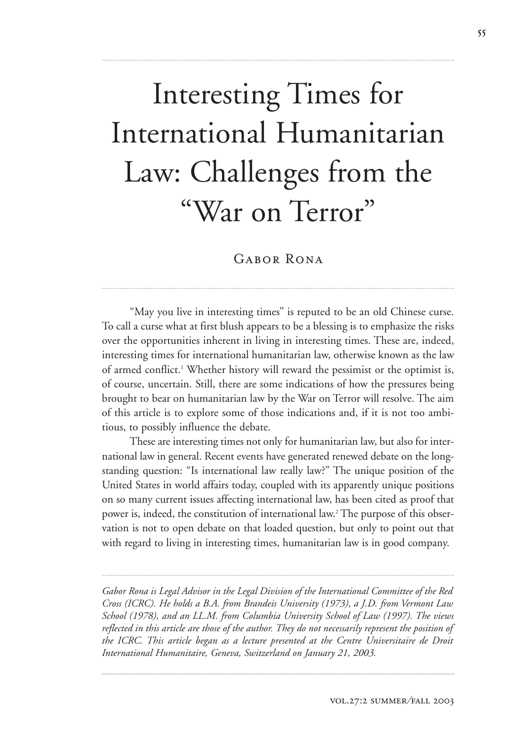# Interesting Times for International Humanitarian Law: Challenges from the "War on Terror"

Gabor Rona

"May you live in interesting times" is reputed to be an old Chinese curse. To call a curse what at first blush appears to be a blessing is to emphasize the risks over the opportunities inherent in living in interesting times. These are, indeed, interesting times for international humanitarian law, otherwise known as the law of armed conflict.<sup>1</sup> Whether history will reward the pessimist or the optimist is, of course, uncertain. Still, there are some indications of how the pressures being brought to bear on humanitarian law by the War on Terror will resolve. The aim of this article is to explore some of those indications and, if it is not too ambitious, to possibly influence the debate.

These are interesting times not only for humanitarian law, but also for international law in general. Recent events have generated renewed debate on the longstanding question: "Is international law really law?" The unique position of the United States in world affairs today, coupled with its apparently unique positions on so many current issues affecting international law, has been cited as proof that power is, indeed, the constitution of international law.2 The purpose of this observation is not to open debate on that loaded question, but only to point out that with regard to living in interesting times, humanitarian law is in good company.

*Gabor Rona is Legal Advisor in the Legal Division of the International Committee of the Red Cross (ICRC). He holds a B.A. from Brandeis University (1973), a J.D. from Vermont Law School (1978), and an LL.M. from Columbia University School of Law (1997). The views reflected in this article are those of the author. They do not necessarily represent the position of the ICRC. This article began as a lecture presented at the Centre Universitaire de Droit International Humanitaire, Geneva, Switzerland on January 21, 2003.*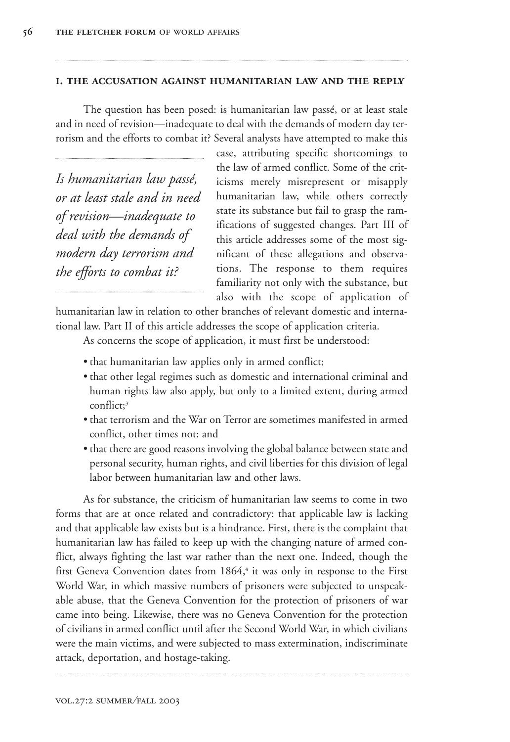#### **I. THE ACCUSATION AGAINST HUMANITARIAN LAW AND THE REPLY**

The question has been posed: is humanitarian law passé, or at least stale and in need of revision—inadequate to deal with the demands of modern day terrorism and the efforts to combat it? Several analysts have attempted to make this

*Is humanitarian law passé, or at least stale and in need of revision—inadequate to deal with the demands of modern day terrorism and the efforts to combat it?*

case, attributing specific shortcomings to the law of armed conflict. Some of the criticisms merely misrepresent or misapply humanitarian law, while others correctly state its substance but fail to grasp the ramifications of suggested changes. Part III of this article addresses some of the most significant of these allegations and observations. The response to them requires familiarity not only with the substance, but also with the scope of application of

humanitarian law in relation to other branches of relevant domestic and international law. Part II of this article addresses the scope of application criteria.

As concerns the scope of application, it must first be understood:

- that humanitarian law applies only in armed conflict;
- that other legal regimes such as domestic and international criminal and human rights law also apply, but only to a limited extent, during armed conflict;3
- that terrorism and the War on Terror are sometimes manifested in armed conflict, other times not; and
- that there are good reasons involving the global balance between state and personal security, human rights, and civil liberties for this division of legal labor between humanitarian law and other laws.

As for substance, the criticism of humanitarian law seems to come in two forms that are at once related and contradictory: that applicable law is lacking and that applicable law exists but is a hindrance. First, there is the complaint that humanitarian law has failed to keep up with the changing nature of armed conflict, always fighting the last war rather than the next one. Indeed, though the first Geneva Convention dates from 1864,<sup>4</sup> it was only in response to the First World War, in which massive numbers of prisoners were subjected to unspeakable abuse, that the Geneva Convention for the protection of prisoners of war came into being. Likewise, there was no Geneva Convention for the protection of civilians in armed conflict until after the Second World War, in which civilians were the main victims, and were subjected to mass extermination, indiscriminate attack, deportation, and hostage-taking.

 $56$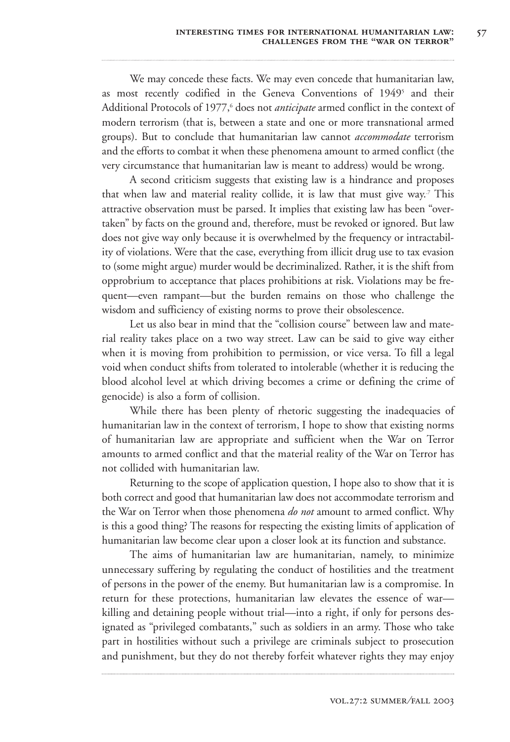We may concede these facts. We may even concede that humanitarian law, as most recently codified in the Geneva Conventions of 1949<sup>5</sup> and their Additional Protocols of 1977,<sup>6</sup> does not *anticipate* armed conflict in the context of modern terrorism (that is, between a state and one or more transnational armed groups). But to conclude that humanitarian law cannot *accommodate* terrorism and the efforts to combat it when these phenomena amount to armed conflict (the very circumstance that humanitarian law is meant to address) would be wrong.

A second criticism suggests that existing law is a hindrance and proposes that when law and material reality collide, it is law that must give way.<sup>7</sup> This attractive observation must be parsed. It implies that existing law has been "overtaken" by facts on the ground and, therefore, must be revoked or ignored. But law does not give way only because it is overwhelmed by the frequency or intractability of violations. Were that the case, everything from illicit drug use to tax evasion to (some might argue) murder would be decriminalized. Rather, it is the shift from opprobrium to acceptance that places prohibitions at risk. Violations may be frequent—even rampant—but the burden remains on those who challenge the wisdom and sufficiency of existing norms to prove their obsolescence.

Let us also bear in mind that the "collision course" between law and material reality takes place on a two way street. Law can be said to give way either when it is moving from prohibition to permission, or vice versa. To fill a legal void when conduct shifts from tolerated to intolerable (whether it is reducing the blood alcohol level at which driving becomes a crime or defining the crime of genocide) is also a form of collision.

While there has been plenty of rhetoric suggesting the inadequacies of humanitarian law in the context of terrorism, I hope to show that existing norms of humanitarian law are appropriate and sufficient when the War on Terror amounts to armed conflict and that the material reality of the War on Terror has not collided with humanitarian law.

Returning to the scope of application question, I hope also to show that it is both correct and good that humanitarian law does not accommodate terrorism and the War on Terror when those phenomena *do not* amount to armed conflict. Why is this a good thing? The reasons for respecting the existing limits of application of humanitarian law become clear upon a closer look at its function and substance.

The aims of humanitarian law are humanitarian, namely, to minimize unnecessary suffering by regulating the conduct of hostilities and the treatment of persons in the power of the enemy. But humanitarian law is a compromise. In return for these protections, humanitarian law elevates the essence of war killing and detaining people without trial—into a right, if only for persons designated as "privileged combatants," such as soldiers in an army. Those who take part in hostilities without such a privilege are criminals subject to prosecution and punishment, but they do not thereby forfeit whatever rights they may enjoy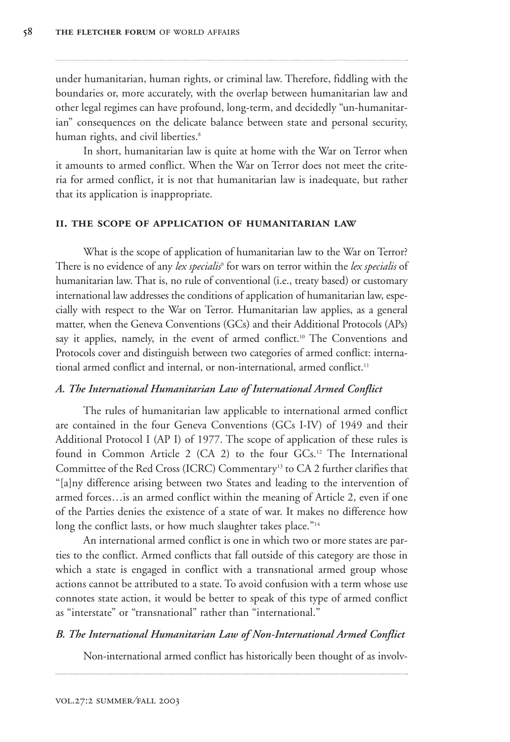under humanitarian, human rights, or criminal law. Therefore, fiddling with the boundaries or, more accurately, with the overlap between humanitarian law and other legal regimes can have profound, long-term, and decidedly "un-humanitarian" consequences on the delicate balance between state and personal security, human rights, and civil liberties.<sup>8</sup>

In short, humanitarian law is quite at home with the War on Terror when it amounts to armed conflict. When the War on Terror does not meet the criteria for armed conflict, it is not that humanitarian law is inadequate, but rather that its application is inappropriate.

#### **II. THE SCOPE OF APPLICATION OF HUMANITARIAN LAW**

What is the scope of application of humanitarian law to the War on Terror? There is no evidence of any *lex specialis*<sup>9</sup> for wars on terror within the *lex specialis* of humanitarian law. That is, no rule of conventional (i.e., treaty based) or customary international law addresses the conditions of application of humanitarian law, especially with respect to the War on Terror. Humanitarian law applies, as a general matter, when the Geneva Conventions (GCs) and their Additional Protocols (APs) say it applies, namely, in the event of armed conflict.<sup>10</sup> The Conventions and Protocols cover and distinguish between two categories of armed conflict: international armed conflict and internal, or non-international, armed conflict.<sup>11</sup>

## *A. The International Humanitarian Law of International Armed Conflict*

The rules of humanitarian law applicable to international armed conflict are contained in the four Geneva Conventions (GCs I-IV) of 1949 and their Additional Protocol I (AP I) of 1977. The scope of application of these rules is found in Common Article 2 (CA 2) to the four GCs.<sup>12</sup> The International Committee of the Red Cross (ICRC) Commentary<sup>13</sup> to CA 2 further clarifies that "[a]ny difference arising between two States and leading to the intervention of armed forces…is an armed conflict within the meaning of Article 2, even if one of the Parties denies the existence of a state of war. It makes no difference how long the conflict lasts, or how much slaughter takes place."<sup>14</sup>

An international armed conflict is one in which two or more states are parties to the conflict. Armed conflicts that fall outside of this category are those in which a state is engaged in conflict with a transnational armed group whose actions cannot be attributed to a state. To avoid confusion with a term whose use connotes state action, it would be better to speak of this type of armed conflict as "interstate" or "transnational" rather than "international."

## *B. The International Humanitarian Law of Non-International Armed Conflict*

Non-international armed conflict has historically been thought of as involv-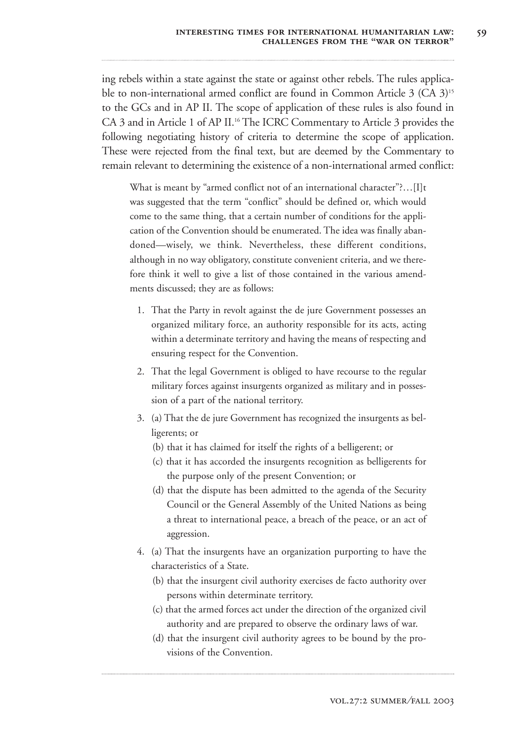ing rebels within a state against the state or against other rebels. The rules applicable to non-international armed conflict are found in Common Article 3 (CA 3)<sup>15</sup> to the GCs and in AP II. The scope of application of these rules is also found in CA 3 and in Article 1 of AP II.16 The ICRC Commentary to Article 3 provides the following negotiating history of criteria to determine the scope of application. These were rejected from the final text, but are deemed by the Commentary to remain relevant to determining the existence of a non-international armed conflict:

What is meant by "armed conflict not of an international character"?…[I]t was suggested that the term "conflict" should be defined or, which would come to the same thing, that a certain number of conditions for the application of the Convention should be enumerated. The idea was finally abandoned—wisely, we think. Nevertheless, these different conditions, although in no way obligatory, constitute convenient criteria, and we therefore think it well to give a list of those contained in the various amendments discussed; they are as follows:

- 1. That the Party in revolt against the de jure Government possesses an organized military force, an authority responsible for its acts, acting within a determinate territory and having the means of respecting and ensuring respect for the Convention.
- 2. That the legal Government is obliged to have recourse to the regular military forces against insurgents organized as military and in possession of a part of the national territory.
- 3. (a) That the de jure Government has recognized the insurgents as belligerents; or
	- (b) that it has claimed for itself the rights of a belligerent; or
	- (c) that it has accorded the insurgents recognition as belligerents for the purpose only of the present Convention; or
	- (d) that the dispute has been admitted to the agenda of the Security Council or the General Assembly of the United Nations as being a threat to international peace, a breach of the peace, or an act of aggression.
- 4. (a) That the insurgents have an organization purporting to have the characteristics of a State.
	- (b) that the insurgent civil authority exercises de facto authority over persons within determinate territory.
	- (c) that the armed forces act under the direction of the organized civil authority and are prepared to observe the ordinary laws of war.
	- (d) that the insurgent civil authority agrees to be bound by the provisions of the Convention.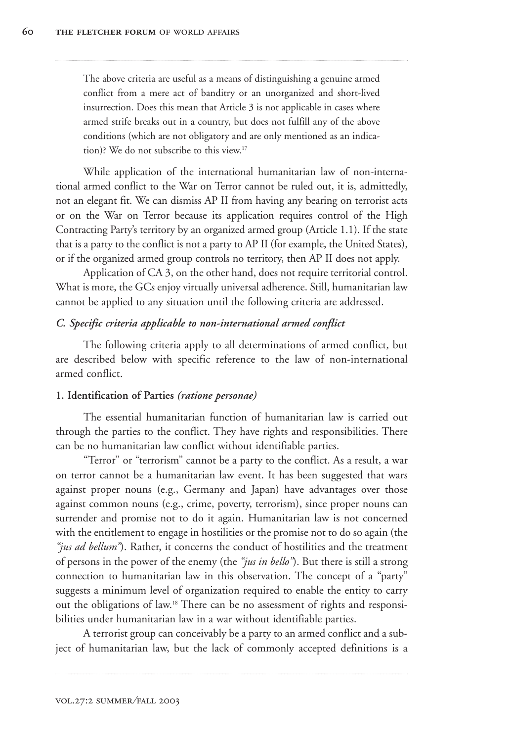The above criteria are useful as a means of distinguishing a genuine armed conflict from a mere act of banditry or an unorganized and short-lived insurrection. Does this mean that Article 3 is not applicable in cases where armed strife breaks out in a country, but does not fulfill any of the above conditions (which are not obligatory and are only mentioned as an indication)? We do not subscribe to this view.<sup>17</sup>

While application of the international humanitarian law of non-international armed conflict to the War on Terror cannot be ruled out, it is, admittedly, not an elegant fit. We can dismiss AP II from having any bearing on terrorist acts or on the War on Terror because its application requires control of the High Contracting Party's territory by an organized armed group (Article 1.1). If the state that is a party to the conflict is not a party to AP II (for example, the United States), or if the organized armed group controls no territory, then AP II does not apply.

Application of CA 3, on the other hand, does not require territorial control. What is more, the GCs enjoy virtually universal adherence. Still, humanitarian law cannot be applied to any situation until the following criteria are addressed.

# *C. Specific criteria applicable to non-international armed conflict*

The following criteria apply to all determinations of armed conflict, but are described below with specific reference to the law of non-international armed conflict.

## **1. Identification of Parties** *(ratione personae)*

The essential humanitarian function of humanitarian law is carried out through the parties to the conflict. They have rights and responsibilities. There can be no humanitarian law conflict without identifiable parties.

"Terror" or "terrorism" cannot be a party to the conflict. As a result, a war on terror cannot be a humanitarian law event. It has been suggested that wars against proper nouns (e.g., Germany and Japan) have advantages over those against common nouns (e.g., crime, poverty, terrorism), since proper nouns can surrender and promise not to do it again. Humanitarian law is not concerned with the entitlement to engage in hostilities or the promise not to do so again (the *"jus ad bellum"*). Rather, it concerns the conduct of hostilities and the treatment of persons in the power of the enemy (the *"jus in bello"*). But there is still a strong connection to humanitarian law in this observation. The concept of a "party" suggests a minimum level of organization required to enable the entity to carry out the obligations of law.18 There can be no assessment of rights and responsibilities under humanitarian law in a war without identifiable parties.

A terrorist group can conceivably be a party to an armed conflict and a subject of humanitarian law, but the lack of commonly accepted definitions is a

VOL.27:2 SUMMER/FALL 2003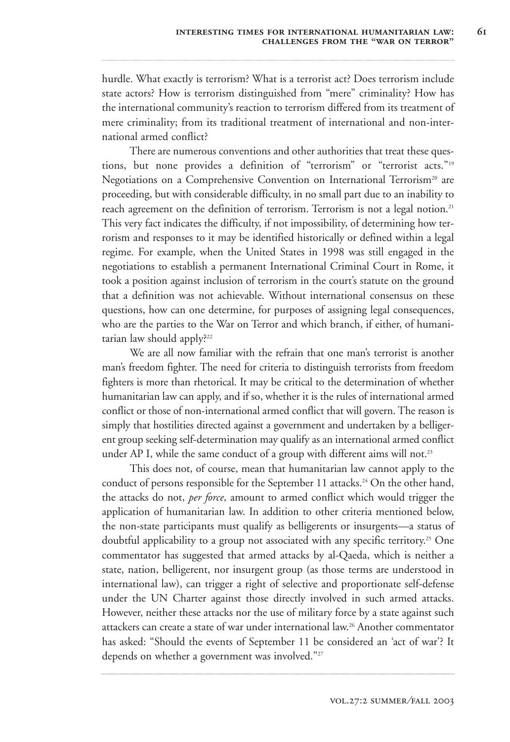hurdle. What exactly is terrorism? What is a terrorist act? Does terrorism include state actors? How is terrorism distinguished from "mere" criminality? How has the international community's reaction to terrorism differed from its treatment of mere criminality; from its traditional treatment of international and non-international armed conflict?

There are numerous conventions and other authorities that treat these questions, but none provides a definition of "terrorism" or "terrorist acts."19 Negotiations on a Comprehensive Convention on International Terrorism<sup>20</sup> are proceeding, but with considerable difficulty, in no small part due to an inability to reach agreement on the definition of terrorism. Terrorism is not a legal notion.<sup>21</sup> This very fact indicates the difficulty, if not impossibility, of determining how terrorism and responses to it may be identified historically or defined within a legal regime. For example, when the United States in 1998 was still engaged in the negotiations to establish a permanent International Criminal Court in Rome, it took a position against inclusion of terrorism in the court's statute on the ground that a definition was not achievable. Without international consensus on these questions, how can one determine, for purposes of assigning legal consequences, who are the parties to the War on Terror and which branch, if either, of humanitarian law should apply?<sup>22</sup>

We are all now familiar with the refrain that one man's terrorist is another man's freedom fighter. The need for criteria to distinguish terrorists from freedom fighters is more than rhetorical. It may be critical to the determination of whether humanitarian law can apply, and if so, whether it is the rules of international armed conflict or those of non-international armed conflict that will govern. The reason is simply that hostilities directed against a government and undertaken by a belligerent group seeking self-determination may qualify as an international armed conflict under AP I, while the same conduct of a group with different aims will not.<sup>23</sup>

This does not, of course, mean that humanitarian law cannot apply to the conduct of persons responsible for the September 11 attacks.<sup>24</sup> On the other hand, the attacks do not, *per force*, amount to armed conflict which would trigger the application of humanitarian law. In addition to other criteria mentioned below, the non-state participants must qualify as belligerents or insurgents—a status of doubtful applicability to a group not associated with any specific territory.<sup>25</sup> One commentator has suggested that armed attacks by al-Qaeda, which is neither a state, nation, belligerent, nor insurgent group (as those terms are understood in international law), can trigger a right of selective and proportionate self-defense under the UN Charter against those directly involved in such armed attacks. However, neither these attacks nor the use of military force by a state against such attackers can create a state of war under international law.<sup>26</sup> Another commentator has asked: "Should the events of September 11 be considered an 'act of war'? It depends on whether a government was involved."27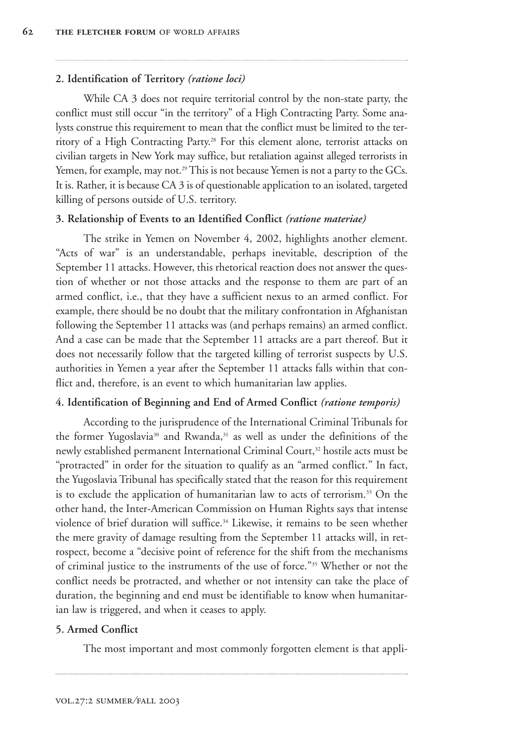## **2. Identification of Territory** *(ratione loci)*

While CA 3 does not require territorial control by the non-state party, the conflict must still occur "in the territory" of a High Contracting Party. Some analysts construe this requirement to mean that the conflict must be limited to the territory of a High Contracting Party.<sup>28</sup> For this element alone, terrorist attacks on civilian targets in New York may suffice, but retaliation against alleged terrorists in Yemen, for example, may not.<sup>29</sup> This is not because Yemen is not a party to the GCs. It is. Rather, it is because CA 3 is of questionable application to an isolated, targeted killing of persons outside of U.S. territory.

## **3. Relationship of Events to an Identified Conflict** *(ratione materiae)*

The strike in Yemen on November 4, 2002, highlights another element. "Acts of war" is an understandable, perhaps inevitable, description of the September 11 attacks. However, this rhetorical reaction does not answer the question of whether or not those attacks and the response to them are part of an armed conflict, i.e., that they have a sufficient nexus to an armed conflict. For example, there should be no doubt that the military confrontation in Afghanistan following the September 11 attacks was (and perhaps remains) an armed conflict. And a case can be made that the September 11 attacks are a part thereof. But it does not necessarily follow that the targeted killing of terrorist suspects by U.S. authorities in Yemen a year after the September 11 attacks falls within that conflict and, therefore, is an event to which humanitarian law applies.

## **4. Identification of Beginning and End of Armed Conflict** *(ratione temporis)*

According to the jurisprudence of the International Criminal Tribunals for the former Yugoslavia<sup>30</sup> and Rwanda,<sup>31</sup> as well as under the definitions of the newly established permanent International Criminal Court,<sup>32</sup> hostile acts must be "protracted" in order for the situation to qualify as an "armed conflict." In fact, the Yugoslavia Tribunal has specifically stated that the reason for this requirement is to exclude the application of humanitarian law to acts of terrorism.<sup>33</sup> On the other hand, the Inter-American Commission on Human Rights says that intense violence of brief duration will suffice.<sup>34</sup> Likewise, it remains to be seen whether the mere gravity of damage resulting from the September 11 attacks will, in retrospect, become a "decisive point of reference for the shift from the mechanisms of criminal justice to the instruments of the use of force."35 Whether or not the conflict needs be protracted, and whether or not intensity can take the place of duration, the beginning and end must be identifiable to know when humanitarian law is triggered, and when it ceases to apply.

## **5. Armed Conflict**

The most important and most commonly forgotten element is that appli-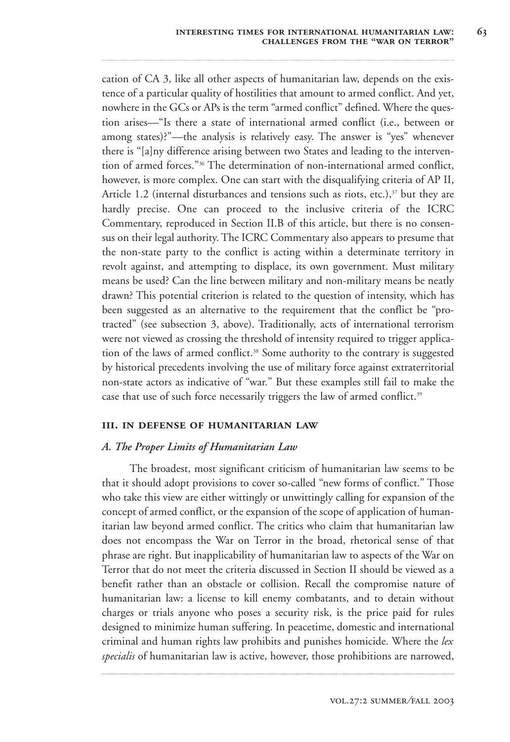cation of CA 3, like all other aspects of humanitarian law, depends on the existence of a particular quality of hostilities that amount to armed conflict. And yet, nowhere in the GCs or APs is the term "armed conflict" defined. Where the question arises—"Is there a state of international armed conflict (i.e., between or among states)?"—the analysis is relatively easy. The answer is "yes" whenever there is "[a]ny difference arising between two States and leading to the intervention of armed forces."36 The determination of non-international armed conflict, however, is more complex. One can start with the disqualifying criteria of AP II, Article 1.2 (internal disturbances and tensions such as riots, etc.), $37$  but they are hardly precise. One can proceed to the inclusive criteria of the ICRC Commentary, reproduced in Section II.B of this article, but there is no consensus on their legal authority. The ICRC Commentary also appears to presume that the non-state party to the conflict is acting within a determinate territory in revolt against, and attempting to displace, its own government. Must military means be used? Can the line between military and non-military means be neatly drawn? This potential criterion is related to the question of intensity, which has been suggested as an alternative to the requirement that the conflict be "protracted" (see subsection 3, above). Traditionally, acts of international terrorism were not viewed as crossing the threshold of intensity required to trigger application of the laws of armed conflict.<sup>38</sup> Some authority to the contrary is suggested by historical precedents involving the use of military force against extraterritorial non-state actors as indicative of "war." But these examples still fail to make the case that use of such force necessarily triggers the law of armed conflict.<sup>39</sup>

### **III. IN DEFENSE OF HUMANITARIAN LAW**

## *A. The Proper Limits of Humanitarian Law*

The broadest, most significant criticism of humanitarian law seems to be that it should adopt provisions to cover so-called "new forms of conflict." Those who take this view are either wittingly or unwittingly calling for expansion of the concept of armed conflict, or the expansion of the scope of application of humanitarian law beyond armed conflict. The critics who claim that humanitarian law does not encompass the War on Terror in the broad, rhetorical sense of that <sup>p</sup>hrase are right. But inapplicability of humanitarian law to aspects of the War on Terror that do not meet the criteria discussed in Section II should be viewed as a benefit rather than an obstacle or collision. Recall the compromise nature of humanitarian law: a license to kill enemy combatants, and to detain without charges or trials anyone who poses a security risk, is the price paid for rules designed to minimize human suffering. In peacetime, domestic and international criminal and human rights law prohibits and punishes homicide. Where the *lex specialis* of humanitarian law is active, however, those prohibitions are narrowed,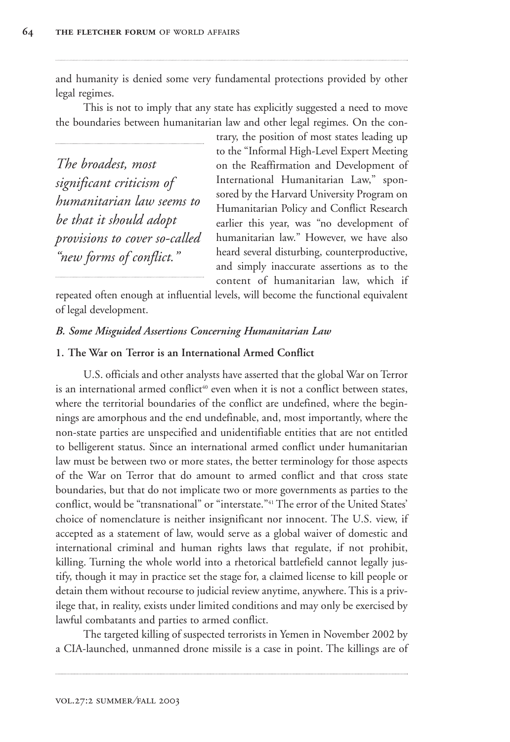and humanity is denied some very fundamental protections provided by other legal regimes.

This is not to imply that any state has explicitly suggested a need to move the boundaries between humanitarian law and other legal regimes. On the con-

*The broadest, most significant criticism of humanitarian law seems to be that it should adopt provisions to cover so-called "new forms of conflict."* 

trary, the position of most states leading up to the "Informal High-Level Expert Meeting on the Reaffirmation and Development of International Humanitarian Law," sponsored by the Harvard University Program on Humanitarian Policy and Conflict Research earlier this year, was "no development of humanitarian law." However, we have also heard several disturbing, counterproductive, and simply inaccurate assertions as to the content of humanitarian law, which if

repeated often enough at influential levels, will become the functional equivalent of legal development.

## *B. Some Misguided Assertions Concerning Humanitarian Law*

## **1. The War on Terror is an International Armed Conflict**

U.S. officials and other analysts have asserted that the global War on Terror is an international armed conflict<sup>40</sup> even when it is not a conflict between states, where the territorial boundaries of the conflict are undefined, where the beginnings are amorphous and the end undefinable, and, most importantly, where the non-state parties are unspecified and unidentifiable entities that are not entitled to belligerent status. Since an international armed conflict under humanitarian law must be between two or more states, the better terminology for those aspects of the War on Terror that do amount to armed conflict and that cross state boundaries, but that do not implicate two or more governments as parties to the conflict, would be "transnational" or "interstate."41 The error of the United States' choice of nomenclature is neither insignificant nor innocent. The U.S. view, if accepted as a statement of law, would serve as a global waiver of domestic and international criminal and human rights laws that regulate, if not prohibit, killing. Turning the whole world into a rhetorical battlefield cannot legally justify, though it may in practice set the stage for, a claimed license to kill people or detain them without recourse to judicial review anytime, anywhere. This is a privilege that, in reality, exists under limited conditions and may only be exercised by lawful combatants and parties to armed conflict.

The targeted killing of suspected terrorists in Yemen in November 2002 by a CIA-launched, unmanned drone missile is a case in point. The killings are of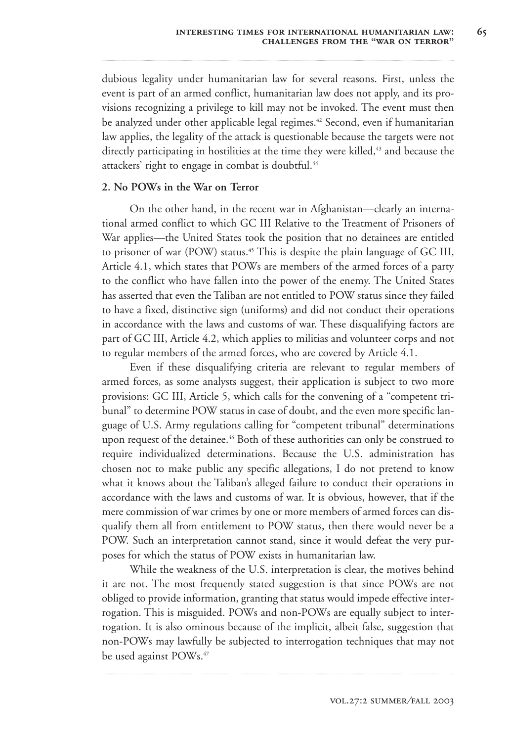dubious legality under humanitarian law for several reasons. First, unless the event is part of an armed conflict, humanitarian law does not apply, and its provisions recognizing a privilege to kill may not be invoked. The event must then be analyzed under other applicable legal regimes.<sup>42</sup> Second, even if humanitarian law applies, the legality of the attack is questionable because the targets were not directly participating in hostilities at the time they were killed,<sup>43</sup> and because the attackers' right to engage in combat is doubtful.<sup>44</sup>

## **2. No POWs in the War on Terror**

On the other hand, in the recent war in Afghanistan—clearly an international armed conflict to which GC III Relative to the Treatment of Prisoners of War applies—the United States took the position that no detainees are entitled to prisoner of war (POW) status.<sup>45</sup> This is despite the plain language of GC III, Article 4.1, which states that POWs are members of the armed forces of a party to the conflict who have fallen into the power of the enemy. The United States has asserted that even the Taliban are not entitled to POW status since they failed to have a fixed, distinctive sign (uniforms) and did not conduct their operations in accordance with the laws and customs of war. These disqualifying factors are part of GC III, Article 4.2, which applies to militias and volunteer corps and not to regular members of the armed forces, who are covered by Article 4.1.

Even if these disqualifying criteria are relevant to regular members of armed forces, as some analysts suggest, their application is subject to two more provisions: GC III, Article 5, which calls for the convening of a "competent tribunal" to determine POW status in case of doubt, and the even more specific language of U.S. Army regulations calling for "competent tribunal" determinations upon request of the detainee.<sup>46</sup> Both of these authorities can only be construed to require individualized determinations. Because the U.S. administration has chosen not to make public any specific allegations, I do not pretend to know what it knows about the Taliban's alleged failure to conduct their operations in accordance with the laws and customs of war. It is obvious, however, that if the mere commission of war crimes by one or more members of armed forces can disqualify them all from entitlement to POW status, then there would never be a POW. Such an interpretation cannot stand, since it would defeat the very purposes for which the status of POW exists in humanitarian law.

While the weakness of the U.S. interpretation is clear, the motives behind it are not. The most frequently stated suggestion is that since POWs are not obliged to provide information, granting that status would impede effective interrogation. This is misguided. POWs and non-POWs are equally subject to interrogation. It is also ominous because of the implicit, albeit false, suggestion that non-POWs may lawfully be subjected to interrogation techniques that may not be used against POWs.<sup>47</sup>

65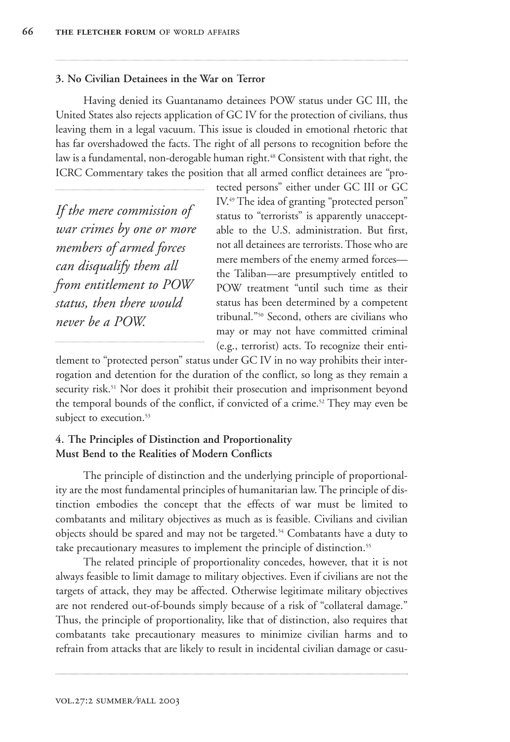## **3. No Civilian Detainees in the War on Terror**

Having denied its Guantanamo detainees POW status under GC III, the United States also rejects application of GC IV for the protection of civilians, thus leaving them in a legal vacuum. This issue is clouded in emotional rhetoric that has far overshadowed the facts. The right of all persons to recognition before the law is a fundamental, non-derogable human right.<sup>48</sup> Consistent with that right, the ICRC Commentary takes the position that all armed conflict detainees are "pro-

*If the mere commission of war crimes by one or more members of armed forces can disqualify them all from entitlement to POW status, then there would never be a POW.*

tected persons" either under GC III or GC IV.49 The idea of granting "protected person" status to "terrorists" is apparently unacceptable to the U.S. administration. But first, not all detainees are terrorists. Those who are mere members of the enemy armed forces the Taliban—are presumptively entitled to POW treatment "until such time as their status has been determined by a competent tribunal."50 Second, others are civilians who may or may not have committed criminal (e.g., terrorist) acts. To recognize their enti-

tlement to "protected person" status under GC IV in no way prohibits their interrogation and detention for the duration of the conflict, so long as they remain a security risk.<sup>51</sup> Nor does it prohibit their prosecution and imprisonment beyond the temporal bounds of the conflict, if convicted of a crime.<sup>52</sup> They may even be subject to execution.<sup>53</sup>

# **4. The Principles of Distinction and Proportionality Must Bend to the Realities of Modern Conflicts**

The principle of distinction and the underlying principle of proportionality are the most fundamental principles of humanitarian law. The principle of distinction embodies the concept that the effects of war must be limited to combatants and military objectives as much as is feasible. Civilians and civilian objects should be spared and may not be targeted.54 Combatants have a duty to take precautionary measures to implement the principle of distinction.<sup>55</sup>

The related principle of proportionality concedes, however, that it is not always feasible to limit damage to military objectives. Even if civilians are not the targets of attack, they may be affected. Otherwise legitimate military objectives are not rendered out-of-bounds simply because of a risk of "collateral damage." Thus, the principle of proportionality, like that of distinction, also requires that combatants take precautionary measures to minimize civilian harms and to refrain from attacks that are likely to result in incidental civilian damage or casu-

VOL.27:2 SUMMER/FALL 2003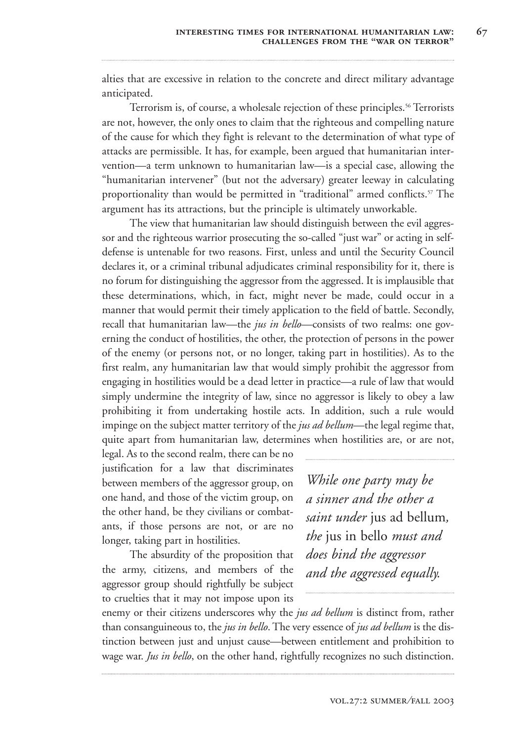alties that are excessive in relation to the concrete and direct military advantage anticipated.

Terrorism is, of course, a wholesale rejection of these principles.<sup>56</sup> Terrorists are not, however, the only ones to claim that the righteous and compelling nature of the cause for which they fight is relevant to the determination of what type of attacks are permissible. It has, for example, been argued that humanitarian intervention—a term unknown to humanitarian law—is a special case, allowing the "humanitarian intervener" (but not the adversary) greater leeway in calculating proportionality than would be permitted in "traditional" armed conflicts.<sup>57</sup> The argument has its attractions, but the principle is ultimately unworkable.

The view that humanitarian law should distinguish between the evil aggressor and the righteous warrior prosecuting the so-called "just war" or acting in selfdefense is untenable for two reasons. First, unless and until the Security Council declares it, or a criminal tribunal adjudicates criminal responsibility for it, there is no forum for distinguishing the aggressor from the aggressed. It is implausible that these determinations, which, in fact, might never be made, could occur in a manner that would permit their timely application to the field of battle. Secondly, recall that humanitarian law—the *jus in bello*—consists of two realms: one governing the conduct of hostilities, the other, the protection of persons in the power of the enemy (or persons not, or no longer, taking part in hostilities). As to the first realm, any humanitarian law that would simply prohibit the aggressor from engaging in hostilities would be a dead letter in practice—a rule of law that would simply undermine the integrity of law, since no aggressor is likely to obey a law prohibiting it from undertaking hostile acts. In addition, such a rule would impinge on the subject matter territory of the *jus ad bellum*—the legal regime that, quite apart from humanitarian law, determines when hostilities are, or are not,

legal. As to the second realm, there can be no justification for a law that discriminates between members of the aggressor group, on one hand, and those of the victim group, on the other hand, be they civilians or combatants, if those persons are not, or are no longer, taking part in hostilities.

The absurdity of the proposition that the army, citizens, and members of the aggressor group should rightfully be subject to cruelties that it may not impose upon its

*While one party may be a sinner and the other a saint under* jus ad bellum*, the* jus in bello *must and does bind the aggressor and the aggressed equally.*

enemy or their citizens underscores why the *jus ad bellum* is distinct from, rather than consanguineous to, the *jus in bello*. The very essence of *jus ad bellum* is the distinction between just and unjust cause—between entitlement and prohibition to wage war. *Jus in bello*, on the other hand, rightfully recognizes no such distinction.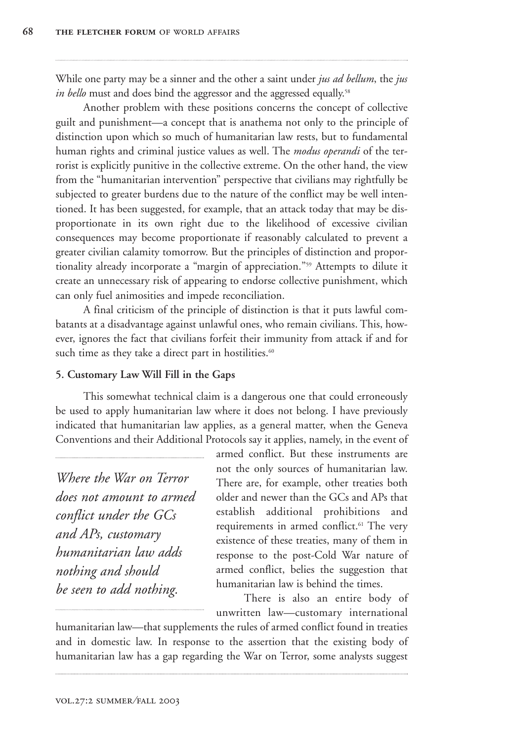While one party may be a sinner and the other a saint under *jus ad bellum*, the *jus in bello* must and does bind the aggressor and the aggressed equally.<sup>58</sup>

Another problem with these positions concerns the concept of collective guilt and punishment—a concept that is anathema not only to the principle of distinction upon which so much of humanitarian law rests, but to fundamental human rights and criminal justice values as well. The *modus operandi* of the terrorist is explicitly punitive in the collective extreme. On the other hand, the view from the "humanitarian intervention" perspective that civilians may rightfully be subjected to greater burdens due to the nature of the conflict may be well intentioned. It has been suggested, for example, that an attack today that may be disproportionate in its own right due to the likelihood of excessive civilian consequences may become proportionate if reasonably calculated to prevent a greater civilian calamity tomorrow. But the principles of distinction and proportionality already incorporate a "margin of appreciation."59 Attempts to dilute it create an unnecessary risk of appearing to endorse collective punishment, which can only fuel animosities and impede reconciliation.

A final criticism of the principle of distinction is that it puts lawful combatants at a disadvantage against unlawful ones, who remain civilians. This, however, ignores the fact that civilians forfeit their immunity from attack if and for such time as they take a direct part in hostilities.<sup>60</sup>

## **5. Customary Law Will Fill in the Gaps**

This somewhat technical claim is a dangerous one that could erroneously be used to apply humanitarian law where it does not belong. I have previously indicated that humanitarian law applies, as a general matter, when the Geneva Conventions and their Additional Protocols say it applies, namely, in the event of

*Where the War on Terror does not amount to armed conflict under the GCs and APs, customary humanitarian law adds nothing and should be seen to add nothing.*

armed conflict. But these instruments are not the only sources of humanitarian law. There are, for example, other treaties both older and newer than the GCs and APs that establish additional prohibitions and requirements in armed conflict.<sup>61</sup> The very existence of these treaties, many of them in response to the post-Cold War nature of armed conflict, belies the suggestion that humanitarian law is behind the times.

There is also an entire body of unwritten law—customary international

humanitarian law—that supplements the rules of armed conflict found in treaties and in domestic law. In response to the assertion that the existing body of humanitarian law has a gap regarding the War on Terror, some analysts suggest

VOL.27:2 SUMMER/FALL 2003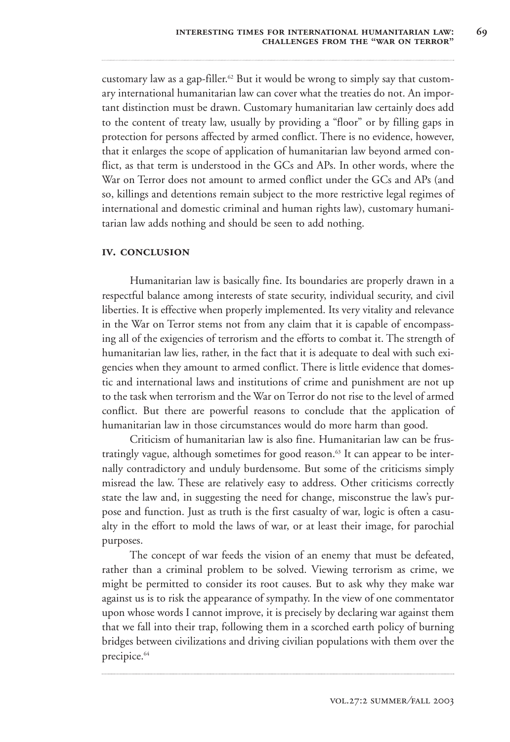customary law as a gap-filler.<sup>62</sup> But it would be wrong to simply say that customary international humanitarian law can cover what the treaties do not. An important distinction must be drawn. Customary humanitarian law certainly does add to the content of treaty law, usually by providing a "floor" or by filling gaps in protection for persons affected by armed conflict. There is no evidence, however, that it enlarges the scope of application of humanitarian law beyond armed conflict, as that term is understood in the GCs and APs. In other words, where the War on Terror does not amount to armed conflict under the GCs and APs (and so, killings and detentions remain subject to the more restrictive legal regimes of international and domestic criminal and human rights law), customary humanitarian law adds nothing and should be seen to add nothing.

## **IV. CONCLUSION**

Humanitarian law is basically fine. Its boundaries are properly drawn in a respectful balance among interests of state security, individual security, and civil liberties. It is effective when properly implemented. Its very vitality and relevance in the War on Terror stems not from any claim that it is capable of encompassing all of the exigencies of terrorism and the efforts to combat it. The strength of humanitarian law lies, rather, in the fact that it is adequate to deal with such exigencies when they amount to armed conflict. There is little evidence that domestic and international laws and institutions of crime and punishment are not up to the task when terrorism and the War on Terror do not rise to the level of armed conflict. But there are powerful reasons to conclude that the application of humanitarian law in those circumstances would do more harm than good.

Criticism of humanitarian law is also fine. Humanitarian law can be frustratingly vague, although sometimes for good reason.<sup>63</sup> It can appear to be internally contradictory and unduly burdensome. But some of the criticisms simply misread the law. These are relatively easy to address. Other criticisms correctly state the law and, in suggesting the need for change, misconstrue the law's purpose and function. Just as truth is the first casualty of war, logic is often a casualty in the effort to mold the laws of war, or at least their image, for parochial purposes.

The concept of war feeds the vision of an enemy that must be defeated, rather than a criminal problem to be solved. Viewing terrorism as crime, we might be permitted to consider its root causes. But to ask why they make war against us is to risk the appearance of sympathy. In the view of one commentator upon whose words I cannot improve, it is precisely by declaring war against them that we fall into their trap, following them in a scorched earth policy of burning bridges between civilizations and driving civilian populations with them over the precipice.<sup>64</sup>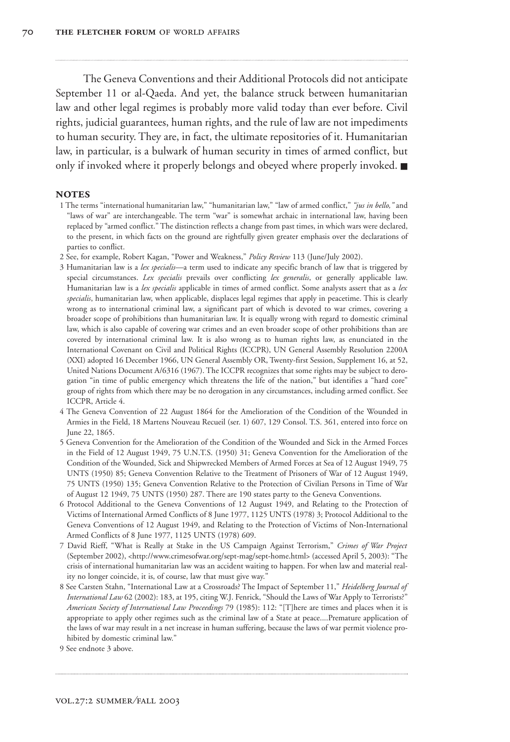The Geneva Conventions and their Additional Protocols did not anticipate September 11 or al-Qaeda. And yet, the balance struck between humanitarian law and other legal regimes is probably more valid today than ever before. Civil rights, judicial guarantees, human rights, and the rule of law are not impediments to human security. They are, in fact, the ultimate repositories of it. Humanitarian law, in particular, is a bulwark of human security in times of armed conflict, but only if invoked where it properly belongs and obeyed where properly invoked. ■

#### **NOTES**

- 1 The terms "international humanitarian law," "humanitarian law," "law of armed conflict," *"jus in bello,"* and "laws of war" are interchangeable. The term "war" is somewhat archaic in international law, having been replaced by "armed conflict." The distinction reflects a change from past times, in which wars were declared, to the present, in which facts on the ground are rightfully given greater emphasis over the declarations of parties to conflict.
- 2 See, for example, Robert Kagan, "Power and Weakness," *Policy Review* 113 (June/July 2002).
- 3 Humanitarian law is a *lex specialis*—a term used to indicate any specific branch of law that is triggered by special circumstances. *Lex specialis* prevails over conflicting *lex generalis*, or generally applicable law. Humanitarian law is a *lex specialis* applicable in times of armed conflict. Some analysts assert that as a *lex specialis*, humanitarian law, when applicable, displaces legal regimes that apply in peacetime. This is clearly wrong as to international criminal law, a significant part of which is devoted to war crimes, covering a broader scope of prohibitions than humanitarian law. It is equally wrong with regard to domestic criminal law, which is also capable of covering war crimes and an even broader scope of other prohibitions than are covered by international criminal law. It is also wrong as to human rights law, as enunciated in the International Covenant on Civil and Political Rights (ICCPR), UN General Assembly Resolution 2200A (XXI) adopted 16 December 1966, UN General Assembly OR, Twenty-first Session, Supplement 16, at 52, United Nations Document A/6316 (1967). The ICCPR recognizes that some rights may be subject to derogation "in time of public emergency which threatens the life of the nation," but identifies a "hard core" group of rights from which there may be no derogation in any circumstances, including armed conflict. See ICCPR, Article 4.
- 4 The Geneva Convention of 22 August 1864 for the Amelioration of the Condition of the Wounded in Armies in the Field, 18 Martens Nouveau Recueil (ser. 1) 607, 129 Consol. T.S. 361, entered into force on June 22, 1865.
- 5 Geneva Convention for the Amelioration of the Condition of the Wounded and Sick in the Armed Forces in the Field of 12 August 1949, 75 U.N.T.S. (1950) 31; Geneva Convention for the Amelioration of the Condition of the Wounded, Sick and Shipwrecked Members of Armed Forces at Sea of 12 August 1949, 75 UNTS (1950) 85; Geneva Convention Relative to the Treatment of Prisoners of War of 12 August 1949, 75 UNTS (1950) 135; Geneva Convention Relative to the Protection of Civilian Persons in Time of War of August 12 1949, 75 UNTS (1950) 287. There are 190 states party to the Geneva Conventions.
- 6 Protocol Additional to the Geneva Conventions of 12 August 1949, and Relating to the Protection of Victims of International Armed Conflicts of 8 June 1977, 1125 UNTS (1978) 3; Protocol Additional to the Geneva Conventions of 12 August 1949, and Relating to the Protection of Victims of Non-International Armed Conflicts of 8 June 1977, 1125 UNTS (1978) 609.
- 7 David Rieff, "What is Really at Stake in the US Campaign Against Terrorism," *Crimes of War Project* (September 2002), <http://www.crimesofwar.org/sept-mag/sept-home.html> (accessed April 5, 2003): "The crisis of international humanitarian law was an accident waiting to happen. For when law and material reality no longer coincide, it is, of course, law that must give way."
- 8 See Carsten Stahn, "International Law at a Crossroads? The Impact of September 11," *Heidelberg Journal of International Law* 62 (2002): 183, at 195, citing W.J. Fenrick, "Should the Laws of War Apply to Terrorists?" *American Society of International Law Proceedings* 79 (1985): 112: "[T]here are times and places when it is appropriate to apply other regimes such as the criminal law of a State at peace....Premature application of the laws of war may result in a net increase in human suffering, because the laws of war permit violence prohibited by domestic criminal law."
- 9 See endnote 3 above.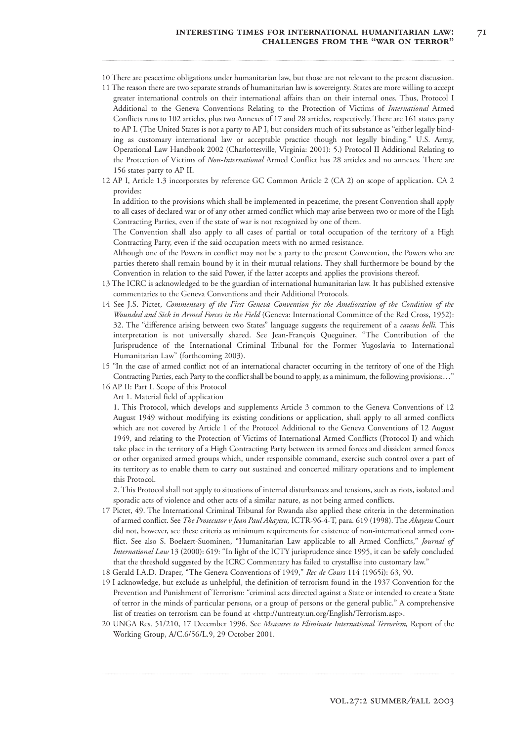- 10 There are peacetime obligations under humanitarian law, but those are not relevant to the present discussion.
- 11 The reason there are two separate strands of humanitarian law is sovereignty. States are more willing to accept greater international controls on their international affairs than on their internal ones. Thus, Protocol I Additional to the Geneva Conventions Relating to the Protection of Victims of *International* Armed Conflicts runs to 102 articles, plus two Annexes of 17 and 28 articles, respectively. There are 161 states party to AP I. (The United States is not a party to AP I, but considers much of its substance as "either legally binding as customary international law or acceptable practice though not legally binding." U.S. Army, Operational Law Handbook 2002 (Charlottesville, Virginia: 2001): 5.) Protocol II Additional Relating to the Protection of Victims of *Non-International* Armed Conflict has 28 articles and no annexes. There are 156 states party to AP II.
- 12 AP I, Article 1.3 incorporates by reference GC Common Article 2 (CA 2) on scope of application. CA 2 provides:

In addition to the provisions which shall be implemented in peacetime, the present Convention shall apply to all cases of declared war or of any other armed conflict which may arise between two or more of the High Contracting Parties, even if the state of war is not recognized by one of them.

The Convention shall also apply to all cases of partial or total occupation of the territory of a High Contracting Party, even if the said occupation meets with no armed resistance.

Although one of the Powers in conflict may not be a party to the present Convention, the Powers who are parties thereto shall remain bound by it in their mutual relations. They shall furthermore be bound by the Convention in relation to the said Power, if the latter accepts and applies the provisions thereof.

- 13 The ICRC is acknowledged to be the guardian of international humanitarian law. It has published extensive commentaries to the Geneva Conventions and their Additional Protocols.
- 14 See J.S. Pictet, *Commentary of the First Geneva Convention for the Amelioration of the Condition of the Wounded and Sick in Armed Forces in the Field* (Geneva: International Committee of the Red Cross, 1952): 32. The "difference arising between two States" language suggests the requirement of a *causus belli.* This interpretation is not universally shared. See Jean-François Queguiner, "The Contribution of the Jurisprudence of the International Criminal Tribunal for the Former Yugoslavia to International Humanitarian Law" (forthcoming 2003).
- 15 "In the case of armed conflict not of an international character occurring in the territory of one of the High Contracting Parties, each Party to the conflict shall be bound to apply, as a minimum, the following provisions:…"
- 16 AP II: Part I. Scope of this Protocol

Art 1. Material field of application

1. This Protocol, which develops and supplements Article 3 common to the Geneva Conventions of 12 August 1949 without modifying its existing conditions or application, shall apply to all armed conflicts which are not covered by Article 1 of the Protocol Additional to the Geneva Conventions of 12 August 1949, and relating to the Protection of Victims of International Armed Conflicts (Protocol I) and which take place in the territory of a High Contracting Party between its armed forces and dissident armed forces or other organized armed groups which, under responsible command, exercise such control over a part of its territory as to enable them to carry out sustained and concerted military operations and to implement this Protocol.

2. This Protocol shall not apply to situations of internal disturbances and tensions, such as riots, isolated and sporadic acts of violence and other acts of a similar nature, as not being armed conflicts.

- 17 Pictet, 49. The International Criminal Tribunal for Rwanda also applied these criteria in the determination of armed conflict. See *The Prosecutor v Jean Paul Akayesu,* ICTR-96-4-T, para. 619 (1998). The *Akayesu* Court did not, however, see these criteria as minimum requirements for existence of non-international armed conflict. See also S. Boelaert-Suominen, "Humanitarian Law applicable to all Armed Conflicts," *Journal of International Law* 13 (2000): 619: "In light of the ICTY jurisprudence since 1995, it can be safely concluded that the threshold suggested by the ICRC Commentary has failed to crystallise into customary law."
- 18 Gerald I.A.D. Draper, "The Geneva Conventions of 1949," *Rec de Cours* 114 (1965i): 63, 90.
- 19 I acknowledge, but exclude as unhelpful, the definition of terrorism found in the 1937 Convention for the Prevention and Punishment of Terrorism: "criminal acts directed against a State or intended to create a State of terror in the minds of particular persons, or a group of persons or the general public." A comprehensive list of treaties on terrorism can be found at <http://untreaty.un.org/English/Terrorism.asp>.
- 20 UNGA Res. 51/210, 17 December 1996. See *Measures to Eliminate International Terrorism,* Report of the Working Group, A/C.6/56/L.9, 29 October 2001.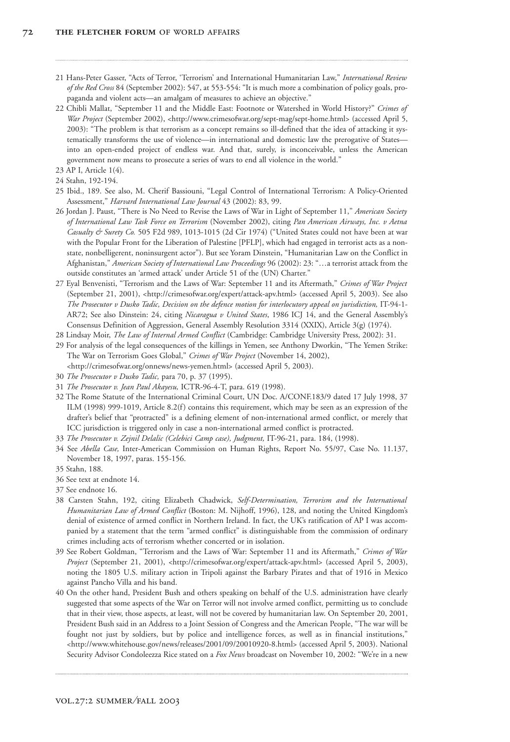- 21 Hans-Peter Gasser, "Acts of Terror, 'Terrorism' and International Humanitarian Law," *International Review of the Red Cross* 84 (September 2002): 547, at 553-554: "It is much more a combination of policy goals, propaganda and violent acts—an amalgam of measures to achieve an objective."
- 22 Chibli Mallat, "September 11 and the Middle East: Footnote or Watershed in World History?" *Crimes of War Project* (September 2002), <http://www.crimesofwar.org/sept-mag/sept-home.html> (accessed April 5, 2003): "The problem is that terrorism as a concept remains so ill-defined that the idea of attacking it systematically transforms the use of violence—in international and domestic law the prerogative of States into an open-ended project of endless war. And that, surely, is inconceivable, unless the American government now means to prosecute a series of wars to end all violence in the world."

- 24 Stahn, 192-194.
- 25 Ibid., 189. See also, M. Cherif Bassiouni, "Legal Control of International Terrorism: A Policy-Oriented Assessment," *Harvard International Law Journal* 43 (2002): 83, 99.
- 26 Jordan J. Paust, "There is No Need to Revise the Laws of War in Light of September 11," *American Society of International Law Task Force on Terrorism* (November 2002), citing *Pan American Airways, Inc. v Aetna Casualty & Surety Co.* 505 F2d 989, 1013-1015 (2d Cir 1974) ("United States could not have been at war with the Popular Front for the Liberation of Palestine [PFLP], which had engaged in terrorist acts as a nonstate, nonbelligerent, noninsurgent actor"). But see Yoram Dinstein, "Humanitarian Law on the Conflict in Afghanistan," *American Society of International Law Proceedings* 96 (2002): 23: "…a terrorist attack from the outside constitutes an 'armed attack' under Article 51 of the (UN) Charter."
- 27 Eyal Benvenisti, "Terrorism and the Laws of War: September 11 and its Aftermath," *Crimes of War Project* (September 21, 2001), <http://crimesofwar.org/expert/attack-apv.html> (accessed April 5, 2003). See also *The Prosecutor v Dusko Tadic, Decision on the defence motion for interlocutory appeal on jurisdiction,* IT-94-1- AR72; See also Dinstein: 24, citing *Nicaragua v United States*, 1986 ICJ 14, and the General Assembly's Consensus Definition of Aggression, General Assembly Resolution 3314 (XXIX), Article 3(g) (1974).
- 28 Lindsay Moir, *The Law of Internal Armed Conflict* (Cambridge: Cambridge University Press, 2002): 31.
- 29 For analysis of the legal consequences of the killings in Yemen, see Anthony Dworkin, "The Yemen Strike: The War on Terrorism Goes Global," *Crimes of War Project* (November 14, 2002), <http://crimesofwar.org/onnews/news-yemen.html> (accessed April 5, 2003).
- 30 *The Prosecutor v Dusko Tadic,* para 70, p. 37 (1995).
- 31 *The Prosecutor v. Jean Paul Akayesu,* ICTR-96-4-T, para. 619 (1998).
- 32 The Rome Statute of the International Criminal Court, UN Doc. A/CONF.183/9 dated 17 July 1998, 37 ILM (1998) 999-1019, Article 8.2(f) contains this requirement, which may be seen as an expression of the drafter's belief that "protracted" is a defining element of non-international armed conflict, or merely that ICC jurisdiction is triggered only in case a non-international armed conflict is protracted.
- 33 *The Prosecutor v. Zejnil Delalic (Celebici Camp case), Judgment,* IT-96-21, para. 184, (1998).
- 34 See *Abella Case,* Inter-American Commission on Human Rights, Report No. 55/97, Case No. 11.137, November 18, 1997, paras. 155-156.
- 35 Stahn, 188.
- 36 See text at endnote 14.
- 37 See endnote 16.
- 38 Carsten Stahn, 192, citing Elizabeth Chadwick, *Self-Determination, Terrorism and the International Humanitarian Law of Armed Conflict* (Boston: M. Nijhoff, 1996), 128, and noting the United Kingdom's denial of existence of armed conflict in Northern Ireland. In fact, the UK's ratification of AP I was accompanied by a statement that the term "armed conflict" is distinguishable from the commission of ordinary crimes including acts of terrorism whether concerted or in isolation.
- 39 See Robert Goldman, "Terrorism and the Laws of War: September 11 and its Aftermath," *Crimes of War Project* (September 21, 2001), <http://crimesofwar.org/expert/attack-apv.html> (accessed April 5, 2003), noting the 1805 U.S. military action in Tripoli against the Barbary Pirates and that of 1916 in Mexico against Pancho Villa and his band.
- 40 On the other hand, President Bush and others speaking on behalf of the U.S. administration have clearly suggested that some aspects of the War on Terror will not involve armed conflict, permitting us to conclude that in their view, those aspects, at least, will not be covered by humanitarian law. On September 20, 2001, President Bush said in an Address to a Joint Session of Congress and the American People, "The war will be fought not just by soldiers, but by police and intelligence forces, as well as in financial institutions," <http://www.whitehouse.gov/news/releases/2001/09/20010920-8.html> (accessed April 5, 2003). National Security Advisor Condoleezza Rice stated on a *Fox News* broadcast on November 10, 2002: "We're in a new

<sup>23</sup> AP I, Article 1(4).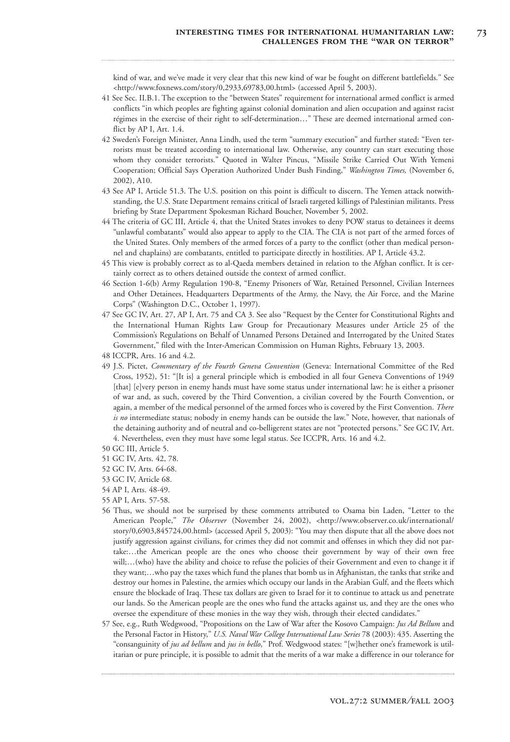kind of war, and we've made it very clear that this new kind of war be fought on different battlefields." See <http://www.foxnews.com/story/0,2933,69783,00.html> (accessed April 5, 2003).

- 41 See Sec. II.B.1. The exception to the "between States" requirement for international armed conflict is armed conflicts "in which peoples are fighting against colonial domination and alien occupation and against racist régimes in the exercise of their right to self-determination…" These are deemed international armed conflict by AP I, Art. 1.4.
- 42 Sweden's Foreign Minister, Anna Lindh, used the term "summary execution" and further stated: "Even terrorists must be treated according to international law. Otherwise, any country can start executing those whom they consider terrorists." Quoted in Walter Pincus, "Missile Strike Carried Out With Yemeni Cooperation; Official Says Operation Authorized Under Bush Finding," *Washington Times,* (November 6, 2002), A10.
- 43 See AP I, Article 51.3. The U.S. position on this point is difficult to discern. The Yemen attack notwithstanding, the U.S. State Department remains critical of Israeli targeted killings of Palestinian militants. Press briefing by State Department Spokesman Richard Boucher, November 5, 2002.
- 44 The criteria of GC III, Article 4, that the United States invokes to deny POW status to detainees it deems "unlawful combatants" would also appear to apply to the CIA. The CIA is not part of the armed forces of the United States. Only members of the armed forces of a party to the conflict (other than medical personnel and chaplains) are combatants, entitled to participate directly in hostilities. AP I, Article 43.2.
- 45 This view is probably correct as to al-Qaeda members detained in relation to the Afghan conflict. It is certainly correct as to others detained outside the context of armed conflict.
- 46 Section 1-6(b) Army Regulation 190-8, "Enemy Prisoners of War, Retained Personnel, Civilian Internees and Other Detainees, Headquarters Departments of the Army, the Navy, the Air Force, and the Marine Corps" (Washington D.C., October 1, 1997).
- 47 See GC IV, Art. 27, AP I, Art. 75 and CA 3. See also "Request by the Center for Constitutional Rights and the International Human Rights Law Group for Precautionary Measures under Article 25 of the Commission's Regulations on Behalf of Unnamed Persons Detained and Interrogated by the United States Government," filed with the Inter-American Commission on Human Rights, February 13, 2003.
- 48 ICCPR, Arts. 16 and 4.2.
- 49 J.S. Pictet, *Commentary of the Fourth Geneva Convention* (Geneva: International Committee of the Red Cross, 1952), 51: "[It is} a general principle which is embodied in all four Geneva Conventions of 1949 [that] [e]very person in enemy hands must have some status under international law: he is either a prisoner of war and, as such, covered by the Third Convention, a civilian covered by the Fourth Convention, or again, a member of the medical personnel of the armed forces who is covered by the First Convention. *There is no* intermediate status; nobody in enemy hands can be outside the law." Note, however, that nationals of the detaining authority and of neutral and co-belligerent states are not "protected persons." See GC IV, Art. 4. Nevertheless, even they must have some legal status. See ICCPR, Arts. 16 and 4.2.
- 50 GC III, Article 5.
- 51 GC IV, Arts. 42, 78.
- 52 GC IV, Arts. 64-68.
- 53 GC IV, Article 68.
- 54 AP I, Arts. 48-49.
- 55 AP I, Arts. 57-58.
- 56 Thus, we should not be surprised by these comments attributed to Osama bin Laden, "Letter to the American People," *The Observer* (November 24, 2002), <http://www.observer.co.uk/international/ story/0,6903,845724,00.html> (accessed April 5, 2003): "You may then dispute that all the above does not justify aggression against civilians, for crimes they did not commit and offenses in which they did not partake:…the American people are the ones who choose their government by way of their own free will;…(who) have the ability and choice to refuse the policies of their Government and even to change it if they want;…who pay the taxes which fund the planes that bomb us in Afghanistan, the tanks that strike and destroy our homes in Palestine, the armies which occupy our lands in the Arabian Gulf, and the fleets which ensure the blockade of Iraq. These tax dollars are given to Israel for it to continue to attack us and penetrate our lands. So the American people are the ones who fund the attacks against us, and they are the ones who oversee the expenditure of these monies in the way they wish, through their elected candidates."
- 57 See, e.g., Ruth Wedgwood, "Propositions on the Law of War after the Kosovo Campaign: *Jus Ad Bellum* and the Personal Factor in History," *U.S. Naval War College International Law Series* 78 (2003): 435. Asserting the "consanguinity of *jus ad bellum* and *jus in bello*," Prof. Wedgwood states: "[w]hether one's framework is utilitarian or pure principle, it is possible to admit that the merits of a war make a difference in our tolerance for